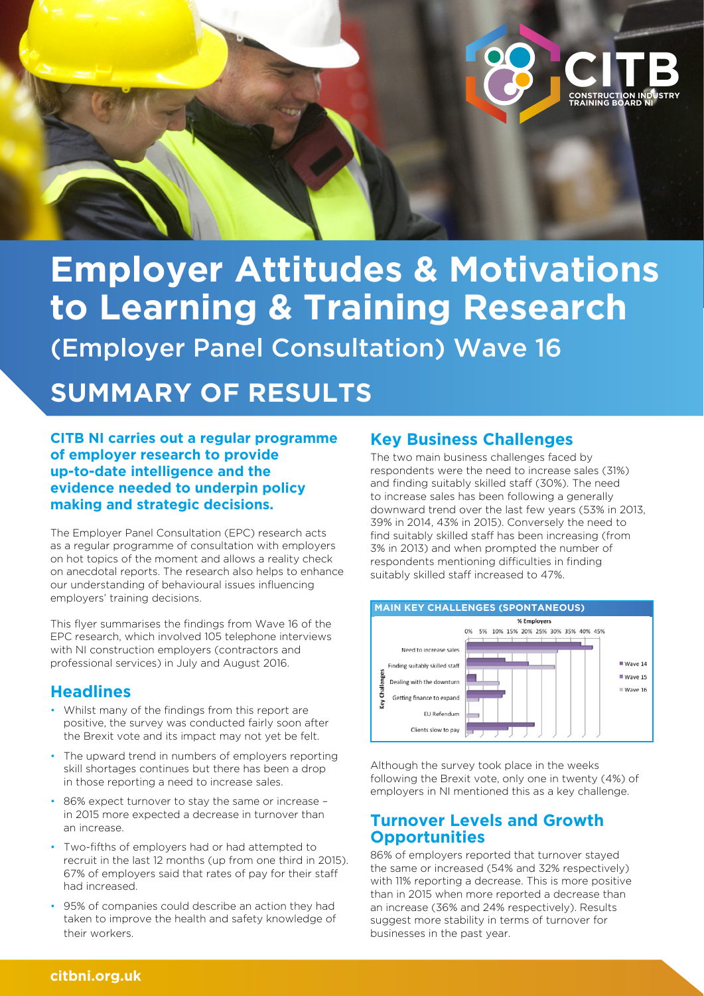

# **Employer Attitudes & Motivations to Learning & Training Research**  (Employer Panel Consultation) Wave 16

# **SUMMARY OF RESULTS**

**CITB NI carries out a regular programme of employer research to provide up-to-date intelligence and the evidence needed to underpin policy making and strategic decisions.** 

The Employer Panel Consultation (EPC) research acts as a regular programme of consultation with employers on hot topics of the moment and allows a reality check on anecdotal reports. The research also helps to enhance our understanding of behavioural issues influencing employers' training decisions.

This flyer summarises the findings from Wave 16 of the EPC research, which involved 105 telephone interviews with NI construction employers (contractors and professional services) in July and August 2016.

## **Headlines**

- Whilst many of the findings from this report are positive, the survey was conducted fairly soon after the Brexit vote and its impact may not yet be felt.
- The upward trend in numbers of employers reporting skill shortages continues but there has been a drop in those reporting a need to increase sales.
- 86% expect turnover to stay the same or increase in 2015 more expected a decrease in turnover than an increase.
- Two-fifths of employers had or had attempted to recruit in the last 12 months (up from one third in 2015). 67% of employers said that rates of pay for their staff had increased.
- 95% of companies could describe an action they had taken to improve the health and safety knowledge of their workers.

# **Key Business Challenges**

The two main business challenges faced by respondents were the need to increase sales (31%) and finding suitably skilled staff (30%). The need to increase sales has been following a generally downward trend over the last few years (53% in 2013, 39% in 2014, 43% in 2015). Conversely the need to find suitably skilled staff has been increasing (from 3% in 2013) and when prompted the number of respondents mentioning difficulties in finding suitably skilled staff increased to 47%.



Although the survey took place in the weeks following the Brexit vote, only one in twenty (4%) of employers in NI mentioned this as a key challenge.

## **Turnover Levels and Growth Opportunities**

86% of employers reported that turnover stayed the same or increased (54% and 32% respectively) with 11% reporting a decrease. This is more positive than in 2015 when more reported a decrease than an increase (36% and 24% respectively). Results suggest more stability in terms of turnover for businesses in the past year.